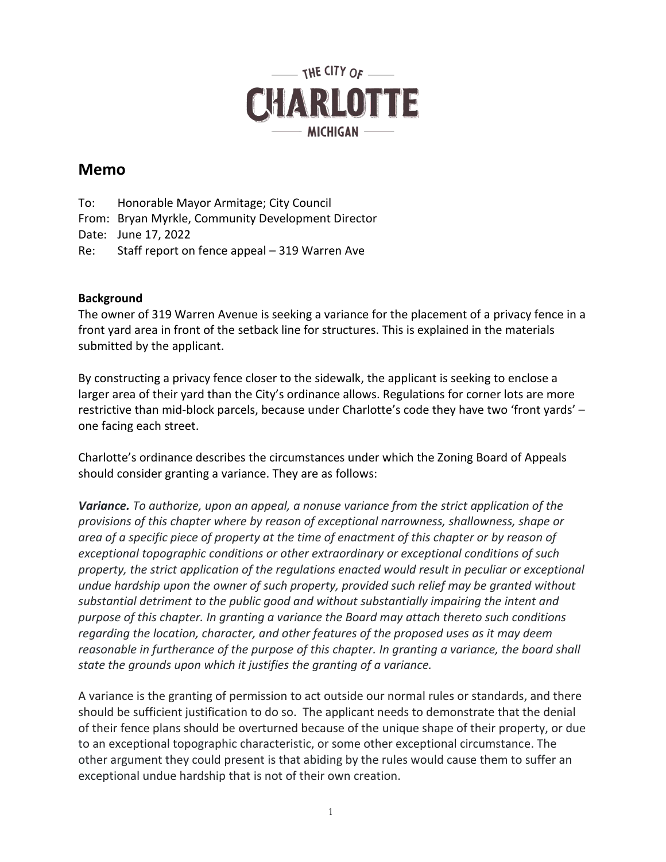

# **Memo**

To: Honorable Mayor Armitage; City Council From: Bryan Myrkle, Community Development Director Date: June 17, 2022 Re: Staff report on fence appeal – 319 Warren Ave

## **Background**

The owner of 319 Warren Avenue is seeking a variance for the placement of a privacy fence in a front yard area in front of the setback line for structures. This is explained in the materials submitted by the applicant.

By constructing a privacy fence closer to the sidewalk, the applicant is seeking to enclose a larger area of their yard than the City's ordinance allows. Regulations for corner lots are more restrictive than mid-block parcels, because under Charlotte's code they have two 'front yards' – one facing each street.

Charlotte's ordinance describes the circumstances under which the Zoning Board of Appeals should consider granting a variance. They are as follows:

*Variance. To authorize, upon an appeal, a nonuse variance from the strict application of the provisions of this chapter where by reason of exceptional narrowness, shallowness, shape or area of a specific piece of property at the time of enactment of this chapter or by reason of exceptional topographic conditions or other extraordinary or exceptional conditions of such property, the strict application of the regulations enacted would result in peculiar or exceptional undue hardship upon the owner of such property, provided such relief may be granted without substantial detriment to the public good and without substantially impairing the intent and purpose of this chapter. In granting a variance the Board may attach thereto such conditions regarding the location, character, and other features of the proposed uses as it may deem reasonable in furtherance of the purpose of this chapter. In granting a variance, the board shall state the grounds upon which it justifies the granting of a variance.*

A variance is the granting of permission to act outside our normal rules or standards, and there should be sufficient justification to do so. The applicant needs to demonstrate that the denial of their fence plans should be overturned because of the unique shape of their property, or due to an exceptional topographic characteristic, or some other exceptional circumstance. The other argument they could present is that abiding by the rules would cause them to suffer an exceptional undue hardship that is not of their own creation.